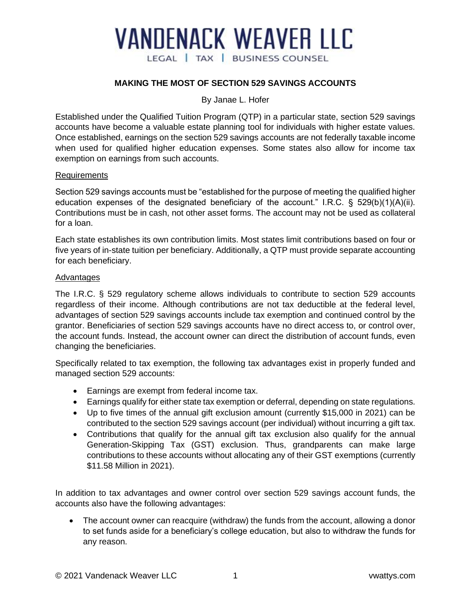# **VANDENACK WEAVER LLC** LEGAL | TAX | BUSINESS COUNSEL

## **MAKING THE MOST OF SECTION 529 SAVINGS ACCOUNTS**

#### By Janae L. Hofer

Established under the Qualified Tuition Program (QTP) in a particular state, section 529 savings accounts have become a valuable estate planning tool for individuals with higher estate values. Once established, earnings on the section 529 savings accounts are not federally taxable income when used for qualified higher education expenses. Some states also allow for income tax exemption on earnings from such accounts.

#### Requirements

Section 529 savings accounts must be "established for the purpose of meeting the qualified higher education expenses of the designated beneficiary of the account." I.R.C. § 529(b)(1)(A)(ii). Contributions must be in cash, not other asset forms. The account may not be used as collateral for a loan.

Each state establishes its own contribution limits. Most states limit contributions based on four or five years of in-state tuition per beneficiary. Additionally, a QTP must provide separate accounting for each beneficiary.

#### Advantages

The I.R.C. § 529 regulatory scheme allows individuals to contribute to section 529 accounts regardless of their income. Although contributions are not tax deductible at the federal level, advantages of section 529 savings accounts include tax exemption and continued control by the grantor. Beneficiaries of section 529 savings accounts have no direct access to, or control over, the account funds. Instead, the account owner can direct the distribution of account funds, even changing the beneficiaries.

Specifically related to tax exemption, the following tax advantages exist in properly funded and managed section 529 accounts:

- Earnings are exempt from federal income tax.
- Earnings qualify for either state tax exemption or deferral, depending on state regulations.
- Up to five times of the annual gift exclusion amount (currently \$15,000 in 2021) can be contributed to the section 529 savings account (per individual) without incurring a gift tax.
- Contributions that qualify for the annual gift tax exclusion also qualify for the annual Generation-Skipping Tax (GST) exclusion. Thus, grandparents can make large contributions to these accounts without allocating any of their GST exemptions (currently \$11.58 Million in 2021).

In addition to tax advantages and owner control over section 529 savings account funds, the accounts also have the following advantages:

• The account owner can reacquire (withdraw) the funds from the account, allowing a donor to set funds aside for a beneficiary's college education, but also to withdraw the funds for any reason.